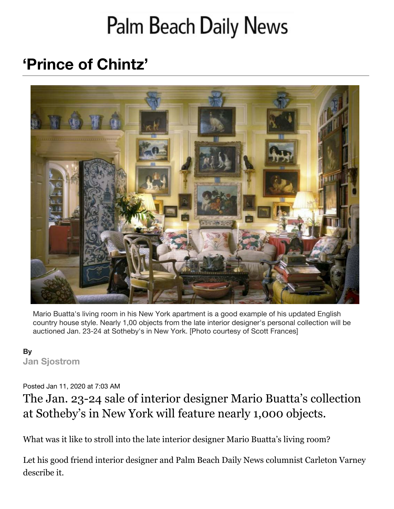# Palm Beach Daily News

## **'Prince of Chintz'**



Mario Buatta's living room in his New York apartment is a good example of his updated English country house style. Nearly 1,00 objects from the late interior designer's personal collection will be auctioned Jan. 23-24 at Sotheby's in New York. [Photo courtesy of Scott Frances]

#### **By [Jan Sjostrom](mailto:jsjostrom@pbdailynews.com)**

#### Posted Jan 11, 2020 at 7:03 AM

### The Jan. 23-24 sale of interior designer Mario Buatta's collection at Sotheby's in New York will feature nearly 1,000 objects.

What was it like to stroll into the late interior designer Mario Buatta's living room?

Let his good friend interior designer and Palm Beach Daily News columnist Carleton Varney describe it.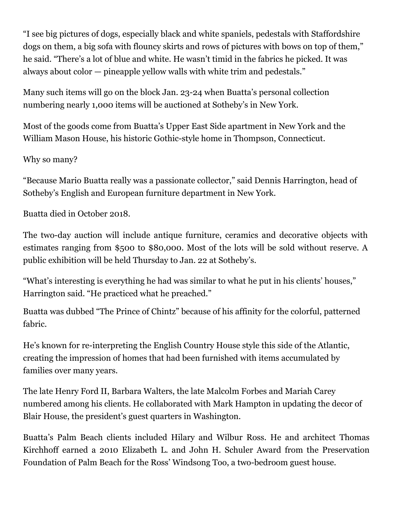"I see big pictures of dogs, especially black and white spaniels, pedestals with Staffordshire dogs on them, a big sofa with flouncy skirts and rows of pictures with bows on top of them," he said. "There's a lot of blue and white. He wasn't timid in the fabrics he picked. It was always about color — pineapple yellow walls with white trim and pedestals."

Many such items will go on the block Jan. 23-24 when Buatta's personal collection numbering nearly 1,000 items will be auctioned at Sotheby's in New York.

Most of the goods come from Buatta's Upper East Side apartment in New York and the William Mason House, his historic Gothic-style home in Thompson, Connecticut.

Why so many?

"Because Mario Buatta really was a passionate collector," said Dennis Harrington, head of Sotheby's English and European furniture department in New York.

Buatta died in October 2018.

The two-day auction will include antique furniture, ceramics and decorative objects with estimates ranging from \$500 to \$80,000. Most of the lots will be sold without reserve. A public exhibition will be held Thursday to Jan. 22 at Sotheby's.

"What's interesting is everything he had was similar to what he put in his clients' houses," Harrington said. "He practiced what he preached."

Buatta was dubbed "The Prince of Chintz" because of his affinity for the colorful, patterned fabric.

He's known for re-interpreting the English Country House style this side of the Atlantic, creating the impression of homes that had been furnished with items accumulated by families over many years.

The late Henry Ford II, Barbara Walters, the late Malcolm Forbes and Mariah Carey numbered among his clients. He collaborated with Mark Hampton in updating the decor of Blair House, the president's guest quarters in Washington.

Buatta's Palm Beach clients included Hilary and Wilbur Ross. He and architect Thomas Kirchhoff earned a 2010 Elizabeth L. and John H. Schuler Award from the Preservation Foundation of Palm Beach for the Ross' Windsong Too, a two-bedroom guest house.